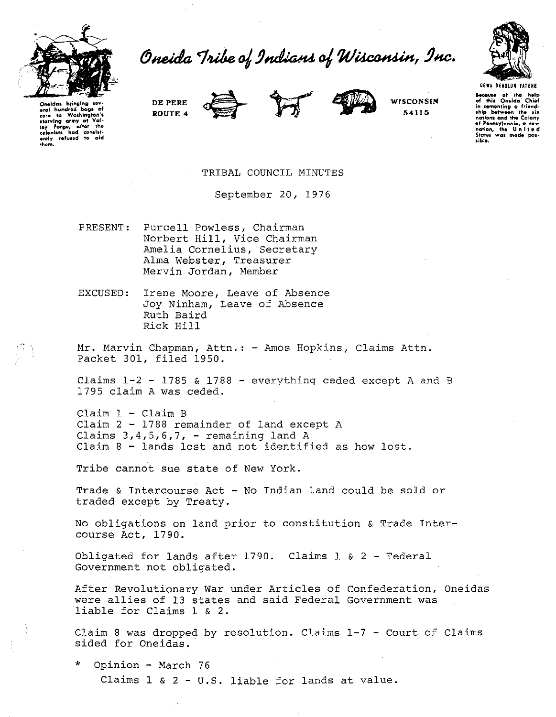

Oneida Tribe of Indians of Wisconsin, Inc.



Oneidas brina Cheidas einging several<br>com to Washington's<br>starving army at Val-<br>ley Forge, after the<br>colonists had consistcolonists not consist-<br>ently refused to old<br>them. DE PERE ROUTE 4







WISCONSIN 54115

Because of the help of this Oneida' Chief in comenting a friend-<br>ship between the six notions and the Colony of Pennsylvania, a ne or remissivante, a new<br>nation, the United<br>States was made pos-**COLLECT** 

TRIBAL COUNCIL MINUTES

September 20, 1976

PRESENT: Purcell Powless, Chairman Norbert Hill, Vice Chairman Amelia Cornelius, Secretary Alma Webster, Treasurer Mervin Jordan, Member

EXCUSED: Irene Moore, Leave of Absence Joy Ninham, Leave of Absence Ruth Baird Rick Hill

Mr. Marvin Chapman, Attn.: - Amos Hopkins, Claims Attn. Packet 301, filed 1950.

Claims 1-2 - 1785 & 1788 - everything ceded except A and B 1795 claim A was ceded.

 $Claim 1 - Claim B$ Claim 2 - 1788 remainder of land except A Claims  $3, 4, 5, 6, 7$ , - remaining land A Claim 8 - lands lost and not identified as how lost.

Tribe cannot sue state of New York.

Trade & Intercourse Act - No Indian land could be sold or traded except by Treaty.

No obligations on land prior to constitution & Trade Intercourse Act, 1790.

Obligated for lands after 1790. Claims 1 & 2 - Federal Government not obligated.

After Revolutionary War under Articles of Confederation, Oneidas were allies of 13 states and said Federal Government was liable for Claims 1 & 2.

Claim 8 was dropped by resolution. Claims 1-7 - Court of Claims sided for Oneidas.

Opinion - March 76 Claims  $1 \& 2 - U.S.$  liable for lands at value.